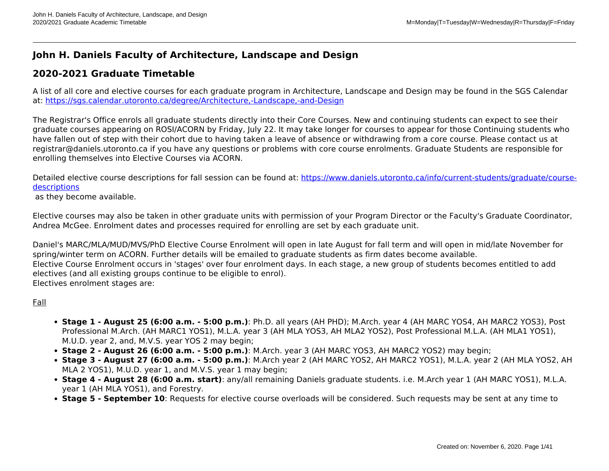# **John H. Daniels Faculty of Architecture, Landscape and Design**

## **2020-2021 Graduate Timetable**

A list of all core and elective courses for each graduate program in Architecture, Landscape and Design may be found in the SGS Calendar at:<https://sgs.calendar.utoronto.ca/degree/Architecture,-Landscape,-and-Design>

The Registrar's Office enrols all graduate students directly into their Core Courses. New and continuing students can expect to see their graduate courses appearing on ROSI/ACORN by Friday, July 22. It may take longer for courses to appear for those Continuing students who have fallen out of step with their cohort due to having taken a leave of absence or withdrawing from a core course. Please contact us at registrar@daniels.utoronto.ca if you have any questions or problems with core course enrolments. Graduate Students are responsible for enrolling themselves into Elective Courses via ACORN.

Detailed elective course descriptions for fall session can be found at: [https://www.daniels.utoronto.ca/info/current-students/graduate/course](https://www.daniels.utoronto.ca/info/current-students/graduate/course-descriptions)**[descriptions](https://www.daniels.utoronto.ca/info/current-students/graduate/course-descriptions)** 

as they become available.

Elective courses may also be taken in other graduate units with permission of your Program Director or the Faculty's Graduate Coordinator, Andrea McGee. Enrolment dates and processes required for enrolling are set by each graduate unit.

Daniel's MARC/MLA/MUD/MVS/PhD Elective Course Enrolment will open in late August for fall term and will open in mid/late November for spring/winter term on ACORN. Further details will be emailed to graduate students as firm dates become available. Elective Course Enrolment occurs in 'stages' over four enrolment days. In each stage, a new group of students becomes entitled to add electives (and all existing groups continue to be eligible to enrol). Electives enrolment stages are:

### Fall

- **Stage 1 August 25 (6:00 a.m. 5:00 p.m.)**: Ph.D. all years (AH PHD); M.Arch. year 4 (AH MARC YOS4, AH MARC2 YOS3), Post Professional M.Arch. (AH MARC1 YOS1), M.L.A. year 3 (AH MLA YOS3, AH MLA2 YOS2), Post Professional M.L.A. (AH MLA1 YOS1), M.U.D. year 2, and, M.V.S. year YOS 2 may begin;
- **Stage 2 August 26 (6:00 a.m. 5:00 p.m.)**: M.Arch. year 3 (AH MARC YOS3, AH MARC2 YOS2) may begin;
- **Stage 3 August 27 (6:00 a.m. 5:00 p.m.)**: M.Arch year 2 (AH MARC YOS2, AH MARC2 YOS1), M.L.A. year 2 (AH MLA YOS2, AH MLA 2 YOS1), M.U.D. year 1, and M.V.S. year 1 may begin;
- **Stage 4 August 28 (6:00 a.m. start)**: any/all remaining Daniels graduate students. i.e. M.Arch year 1 (AH MARC YOS1), M.L.A. year 1 (AH MLA YOS1), and Forestry.
- **Stage 5 September 10**: Requests for elective course overloads will be considered. Such requests may be sent at any time to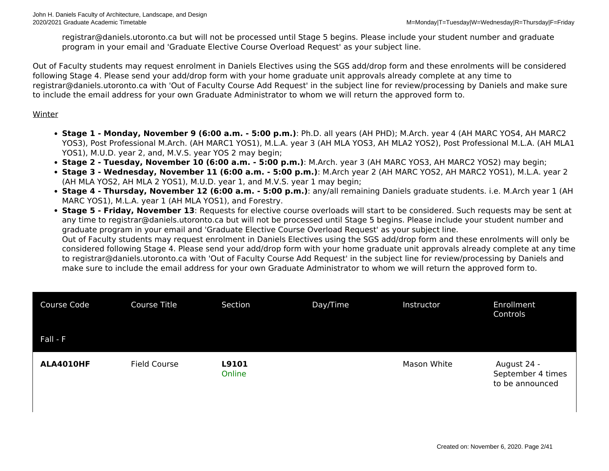registrar@daniels.utoronto.ca but will not be processed until Stage 5 begins. Please include your student number and graduate program in your email and 'Graduate Elective Course Overload Request' as your subject line.

Out of Faculty students may request enrolment in Daniels Electives using the SGS add/drop form and these enrolments will be considered following Stage 4. Please send your add/drop form with your home graduate unit approvals already complete at any time to registrar@daniels.utoronto.ca with 'Out of Faculty Course Add Request' in the subject line for review/processing by Daniels and make sure to include the email address for your own Graduate Administrator to whom we will return the approved form to.

### Winter

- **Stage 1 Monday, November 9 (6:00 a.m. 5:00 p.m.)**: Ph.D. all years (AH PHD); M.Arch. year 4 (AH MARC YOS4, AH MARC2 YOS3), Post Professional M.Arch. (AH MARC1 YOS1), M.L.A. year 3 (AH MLA YOS3, AH MLA2 YOS2), Post Professional M.L.A. (AH MLA1 YOS1), M.U.D. year 2, and, M.V.S. year YOS 2 may begin;
- **Stage 2 Tuesday, November 10 (6:00 a.m. 5:00 p.m.)**: M.Arch. year 3 (AH MARC YOS3, AH MARC2 YOS2) may begin;
- **Stage 3 Wednesday, November 11 (6:00 a.m. 5:00 p.m.)**: M.Arch year 2 (AH MARC YOS2, AH MARC2 YOS1), M.L.A. year 2 (AH MLA YOS2, AH MLA 2 YOS1), M.U.D. year 1, and M.V.S. year 1 may begin;
- **Stage 4 Thursday, November 12 (6:00 a.m. 5:00 p.m.)**: any/all remaining Daniels graduate students. i.e. M.Arch year 1 (AH MARC YOS1), M.L.A. year 1 (AH MLA YOS1), and Forestry.
- **Stage 5 Friday, November 13**: Requests for elective course overloads will start to be considered. Such requests may be sent at any time to registrar@daniels.utoronto.ca but will not be processed until Stage 5 begins. Please include your student number and graduate program in your email and 'Graduate Elective Course Overload Request' as your subject line. Out of Faculty students may request enrolment in Daniels Electives using the SGS add/drop form and these enrolments will only be considered following Stage 4. Please send your add/drop form with your home graduate unit approvals already complete at any time

to registrar@daniels.utoronto.ca with 'Out of Faculty Course Add Request' in the subject line for review/processing by Daniels and make sure to include the email address for your own Graduate Administrator to whom we will return the approved form to.

| Course Code | Course Title        | Section         | Day/Time | Instructor  | Enrollment<br>Controls                              |
|-------------|---------------------|-----------------|----------|-------------|-----------------------------------------------------|
| Fall - F    |                     |                 |          |             |                                                     |
| ALA4010HF   | <b>Field Course</b> | L9101<br>Online |          | Mason White | August 24 -<br>September 4 times<br>to be announced |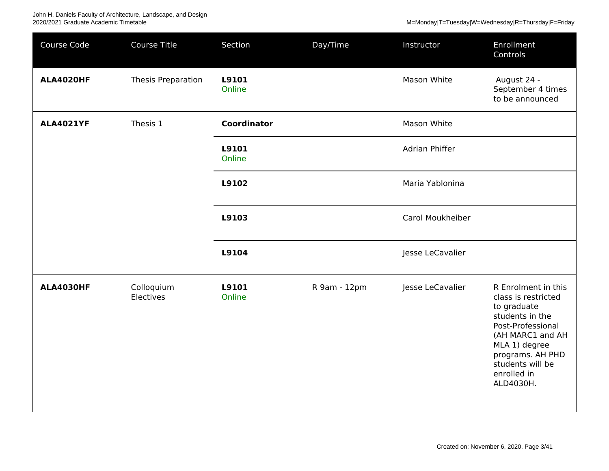John H. Daniels Faculty of Architecture, Landscape, and Design<br>2020/2021 Graduate Academic Timetable

| Course Code      | <b>Course Title</b>     | Section            | Day/Time     | Instructor       | Enrollment<br>Controls                                                                                                                                                                                     |
|------------------|-------------------------|--------------------|--------------|------------------|------------------------------------------------------------------------------------------------------------------------------------------------------------------------------------------------------------|
| <b>ALA4020HF</b> | Thesis Preparation      | L9101<br>Online    |              | Mason White      | August 24 -<br>September 4 times<br>to be announced                                                                                                                                                        |
| <b>ALA4021YF</b> | Thesis 1                | <b>Coordinator</b> |              | Mason White      |                                                                                                                                                                                                            |
|                  |                         | L9101<br>Online    |              | Adrian Phiffer   |                                                                                                                                                                                                            |
|                  |                         | L9102              |              | Maria Yablonina  |                                                                                                                                                                                                            |
|                  |                         | L9103              |              | Carol Moukheiber |                                                                                                                                                                                                            |
|                  |                         | L9104              |              | Jesse LeCavalier |                                                                                                                                                                                                            |
| <b>ALA4030HF</b> | Colloquium<br>Electives | L9101<br>Online    | R 9am - 12pm | Jesse LeCavalier | R Enrolment in this<br>class is restricted<br>to graduate<br>students in the<br>Post-Professional<br>(AH MARC1 and AH<br>MLA 1) degree<br>programs. AH PHD<br>students will be<br>enrolled in<br>ALD4030H. |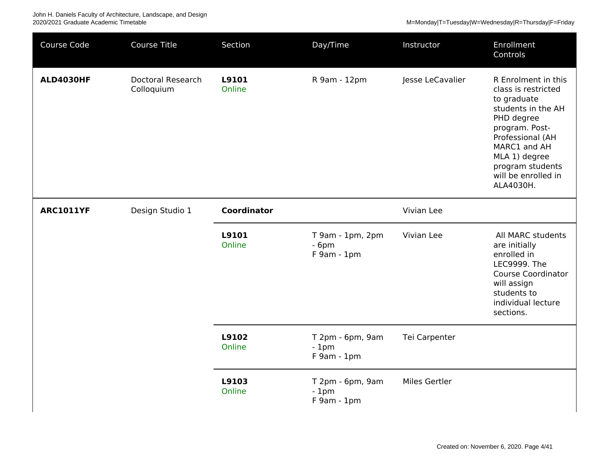John H. Daniels Faculty of Architecture, Landscape, and Design 2020/2021 Graduate Academic Timetable M=Monday|T=Tuesday|W=Wednesday|R=Thursday|F=Friday

| Course Code      | <b>Course Title</b>                    | Section            | Day/Time                                  | Instructor       | Enrollment<br>Controls                                                                                                                                                                                                       |
|------------------|----------------------------------------|--------------------|-------------------------------------------|------------------|------------------------------------------------------------------------------------------------------------------------------------------------------------------------------------------------------------------------------|
| <b>ALD4030HF</b> | <b>Doctoral Research</b><br>Colloquium | L9101<br>Online    | R 9am - 12pm                              | Jesse LeCavalier | R Enrolment in this<br>class is restricted<br>to graduate<br>students in the AH<br>PHD degree<br>program. Post-<br>Professional (AH<br>MARC1 and AH<br>MLA 1) degree<br>program students<br>will be enrolled in<br>ALA4030H. |
| <b>ARC1011YF</b> | Design Studio 1                        | <b>Coordinator</b> |                                           | Vivian Lee       |                                                                                                                                                                                                                              |
|                  |                                        | L9101<br>Online    | T 9am - 1pm, 2pm<br>$-6pm$<br>F 9am - 1pm | Vivian Lee       | All MARC students<br>are initially<br>enrolled in<br>LEC9999. The<br><b>Course Coordinator</b><br>will assign<br>students to<br>individual lecture<br>sections.                                                              |
|                  |                                        | L9102<br>Online    | T 2pm - 6pm, 9am<br>$-1pm$<br>F 9am - 1pm | Tei Carpenter    |                                                                                                                                                                                                                              |
|                  |                                        | L9103<br>Online    | T 2pm - 6pm, 9am<br>$-1pm$<br>F 9am - 1pm | Miles Gertler    |                                                                                                                                                                                                                              |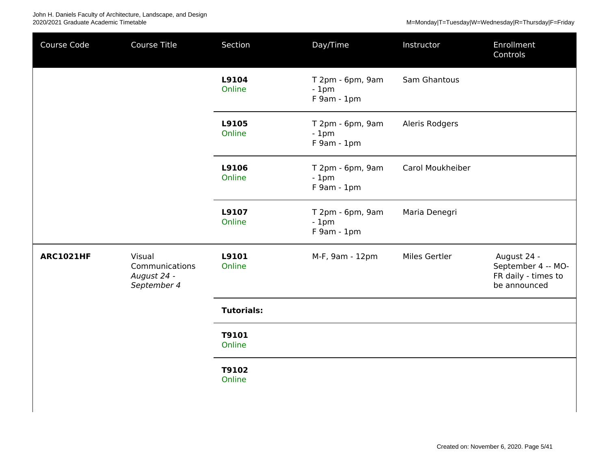| Course Code      | Course Title                                           | Section           | Day/Time                                  | Instructor       | Enrollment<br>Controls                                                   |
|------------------|--------------------------------------------------------|-------------------|-------------------------------------------|------------------|--------------------------------------------------------------------------|
|                  |                                                        | L9104<br>Online   | T 2pm - 6pm, 9am<br>$-1pm$<br>F 9am - 1pm | Sam Ghantous     |                                                                          |
|                  |                                                        | L9105<br>Online   | T 2pm - 6pm, 9am<br>$-1pm$<br>F 9am - 1pm | Aleris Rodgers   |                                                                          |
|                  |                                                        | L9106<br>Online   | T 2pm - 6pm, 9am<br>$-1pm$<br>F 9am - 1pm | Carol Moukheiber |                                                                          |
|                  |                                                        | L9107<br>Online   | T 2pm - 6pm, 9am<br>$-1pm$<br>F 9am - 1pm | Maria Denegri    |                                                                          |
| <b>ARC1021HF</b> | Visual<br>Communications<br>August 24 -<br>September 4 | L9101<br>Online   | M-F, 9am - 12pm                           | Miles Gertler    | August 24 -<br>September 4 -- MO-<br>FR daily - times to<br>be announced |
|                  |                                                        | <b>Tutorials:</b> |                                           |                  |                                                                          |
|                  |                                                        | T9101<br>Online   |                                           |                  |                                                                          |
|                  |                                                        | T9102<br>Online   |                                           |                  |                                                                          |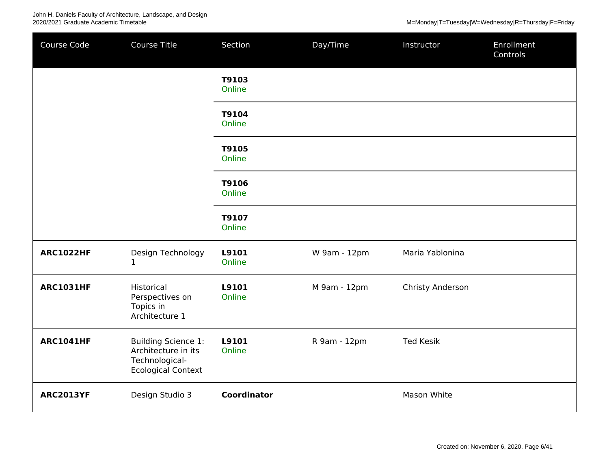John H. Daniels Faculty of Architecture, Landscape, and Design<br>2020/2021 Graduate Academic Timetable

| <b>ARC1022HF</b> | Design Technology<br>1                                                                           | L9101<br>Online    | W 9am - 12pm | Maria Yablonina  |  |
|------------------|--------------------------------------------------------------------------------------------------|--------------------|--------------|------------------|--|
| <b>ARC1031HF</b> | Historical<br>Perspectives on<br>Topics in<br>Architecture 1                                     | L9101<br>Online    | M 9am - 12pm | Christy Anderson |  |
| <b>ARC1041HF</b> | <b>Building Science 1:</b><br>Architecture in its<br>Technological-<br><b>Ecological Context</b> | L9101<br>Online    | R 9am - 12pm | <b>Ted Kesik</b> |  |
| <b>ARC2013YF</b> | Design Studio 3                                                                                  | <b>Coordinator</b> |              | Mason White      |  |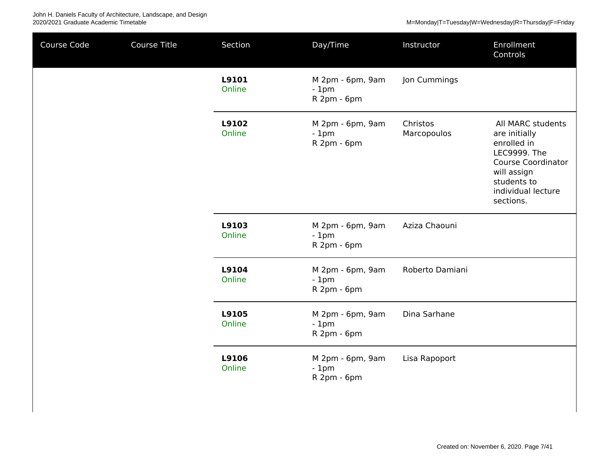| Course Code | Course Title | Section         | Day/Time                                  | Instructor              | Enrollment<br>Controls                                                                                                                                                 |
|-------------|--------------|-----------------|-------------------------------------------|-------------------------|------------------------------------------------------------------------------------------------------------------------------------------------------------------------|
|             |              | L9101<br>Online | M 2pm - 6pm, 9am<br>$-1pm$<br>R 2pm - 6pm | Jon Cummings            |                                                                                                                                                                        |
|             |              | L9102<br>Online | M 2pm - 6pm, 9am<br>$-1pm$<br>R 2pm - 6pm | Christos<br>Marcopoulos | All MARC students<br>are initially<br>enrolled in<br><b>LEC9999. The</b><br><b>Course Coordinator</b><br>will assign<br>students to<br>individual lecture<br>sections. |
|             |              | L9103<br>Online | M 2pm - 6pm, 9am<br>$-1pm$<br>R 2pm - 6pm | Aziza Chaouni           |                                                                                                                                                                        |
|             |              | L9104<br>Online | M 2pm - 6pm, 9am<br>$-1pm$<br>R 2pm - 6pm | Roberto Damiani         |                                                                                                                                                                        |
|             |              | L9105<br>Online | M 2pm - 6pm, 9am<br>$-1pm$<br>R 2pm - 6pm | Dina Sarhane            |                                                                                                                                                                        |
|             |              | L9106<br>Online | M 2pm - 6pm, 9am<br>$-1pm$<br>R 2pm - 6pm | Lisa Rapoport           |                                                                                                                                                                        |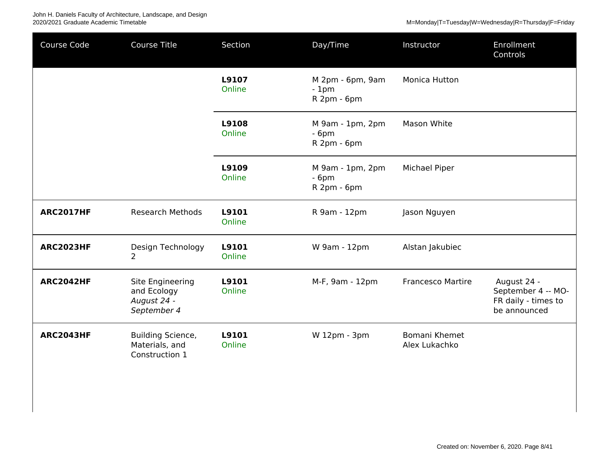| Course Code      | Course Title                                                  | Section         | Day/Time                                  | Instructor                     | Enrollment<br>Controls                                                   |
|------------------|---------------------------------------------------------------|-----------------|-------------------------------------------|--------------------------------|--------------------------------------------------------------------------|
|                  |                                                               | L9107<br>Online | M 2pm - 6pm, 9am<br>$-1pm$<br>R 2pm - 6pm | Monica Hutton                  |                                                                          |
|                  |                                                               | L9108<br>Online | M 9am - 1pm, 2pm<br>$-6pm$<br>R 2pm - 6pm | Mason White                    |                                                                          |
|                  |                                                               | L9109<br>Online | M 9am - 1pm, 2pm<br>$-6pm$<br>R 2pm - 6pm | Michael Piper                  |                                                                          |
| <b>ARC2017HF</b> | <b>Research Methods</b>                                       | L9101<br>Online | R 9am - 12pm                              | Jason Nguyen                   |                                                                          |
| <b>ARC2023HF</b> | Design Technology<br>$\overline{2}$                           | L9101<br>Online | W 9am - 12pm                              | Alstan Jakubiec                |                                                                          |
| <b>ARC2042HF</b> | Site Engineering<br>and Ecology<br>August 24 -<br>September 4 | L9101<br>Online | M-F, 9am - 12pm                           | <b>Francesco Martire</b>       | August 24 -<br>September 4 -- MO-<br>FR daily - times to<br>be announced |
| <b>ARC2043HF</b> | <b>Building Science,</b><br>Materials, and<br>Construction 1  | L9101<br>Online | W 12pm - 3pm                              | Bomani Khemet<br>Alex Lukachko |                                                                          |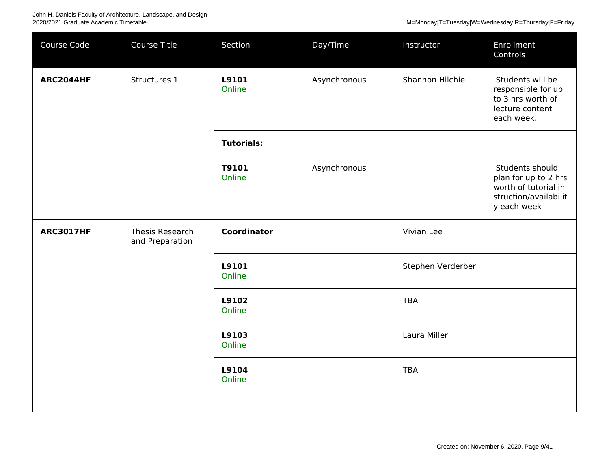| Course Code      | Course Title    | Section            | Day/Time     | Instructor        | Enrollment<br>Controls                                                                                  |
|------------------|-----------------|--------------------|--------------|-------------------|---------------------------------------------------------------------------------------------------------|
| <b>ARC2044HF</b> | Structures 1    | L9101<br>Online    | Asynchronous | Shannon Hilchie   | Students will be<br>responsible for up<br>to 3 hrs worth of<br>lecture content<br>each week.            |
|                  |                 | <b>Tutorials:</b>  |              |                   |                                                                                                         |
|                  |                 | T9101<br>Online    | Asynchronous |                   | Students should<br>plan for up to 2 hrs<br>worth of tutorial in<br>struction/availabilit<br>y each week |
| <b>ARC3017HF</b> | Thesis Research | <b>Coordinator</b> |              | Vivian Lee        |                                                                                                         |
|                  | and Preparation |                    |              |                   |                                                                                                         |
|                  |                 | L9101<br>Online    |              | Stephen Verderber |                                                                                                         |
|                  |                 | L9102<br>Online    |              | <b>TBA</b>        |                                                                                                         |
|                  |                 | L9103<br>Online    |              | Laura Miller      |                                                                                                         |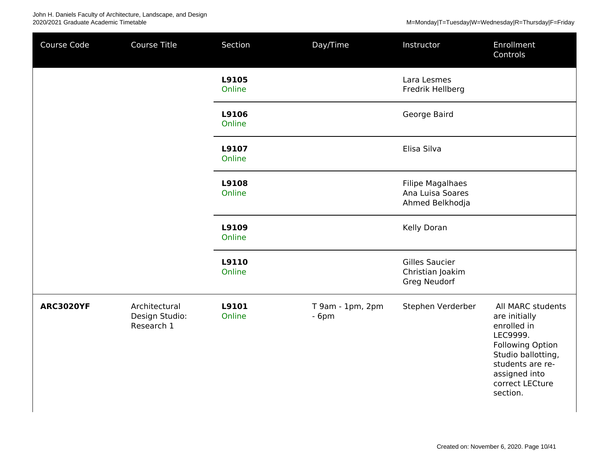| Course Code      | Course Title                                  | Section         | Day/Time                   | Instructor                                                     | Enrollment<br>Controls                                                                                                                                                      |
|------------------|-----------------------------------------------|-----------------|----------------------------|----------------------------------------------------------------|-----------------------------------------------------------------------------------------------------------------------------------------------------------------------------|
|                  |                                               | L9105<br>Online |                            | Lara Lesmes<br>Fredrik Hellberg                                |                                                                                                                                                                             |
|                  |                                               | L9106<br>Online |                            | George Baird                                                   |                                                                                                                                                                             |
|                  |                                               | L9107<br>Online |                            | Elisa Silva                                                    |                                                                                                                                                                             |
|                  |                                               | L9108<br>Online |                            | <b>Filipe Magalhaes</b><br>Ana Luisa Soares<br>Ahmed Belkhodja |                                                                                                                                                                             |
|                  |                                               | L9109<br>Online |                            | Kelly Doran                                                    |                                                                                                                                                                             |
|                  |                                               | L9110<br>Online |                            | <b>Gilles Saucier</b><br>Christian Joakim<br>Greg Neudorf      |                                                                                                                                                                             |
| <b>ARC3020YF</b> | Architectural<br>Design Studio:<br>Research 1 | L9101<br>Online | T 9am - 1pm, 2pm<br>$-6pm$ | Stephen Verderber                                              | All MARC students<br>are initially<br>enrolled in<br>LEC9999.<br>Following Option<br>Studio ballotting,<br>students are re-<br>assigned into<br>correct LECture<br>section. |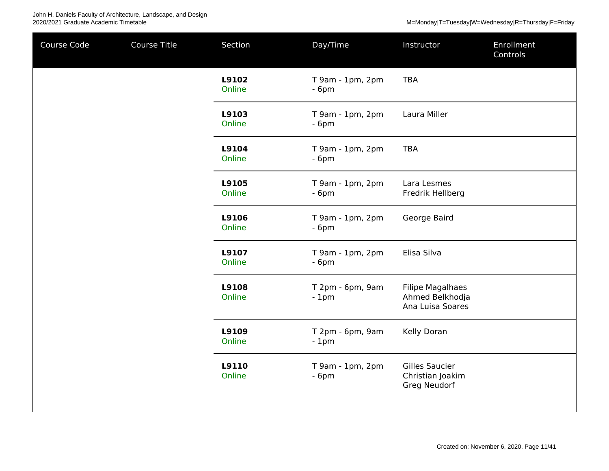| Course Code | Course Title | Section         | Day/Time                   | Instructor                                                     | <b>Enrollment</b><br>Controls |
|-------------|--------------|-----------------|----------------------------|----------------------------------------------------------------|-------------------------------|
|             |              | L9102<br>Online | T 9am - 1pm, 2pm<br>$-6pm$ | <b>TBA</b>                                                     |                               |
|             |              | L9103<br>Online | T 9am - 1pm, 2pm<br>$-6pm$ | Laura Miller                                                   |                               |
|             |              | L9104<br>Online | T 9am - 1pm, 2pm<br>$-6pm$ | <b>TBA</b>                                                     |                               |
|             |              | L9105<br>Online | T 9am - 1pm, 2pm<br>$-6pm$ | Lara Lesmes<br>Fredrik Hellberg                                |                               |
|             |              | L9106<br>Online | T 9am - 1pm, 2pm<br>$-6pm$ | George Baird                                                   |                               |
|             |              | L9107<br>Online | T 9am - 1pm, 2pm<br>$-6pm$ | Elisa Silva                                                    |                               |
|             |              | L9108<br>Online | T 2pm - 6pm, 9am<br>$-1pm$ | <b>Filipe Magalhaes</b><br>Ahmed Belkhodja<br>Ana Luisa Soares |                               |
|             |              | L9109<br>Online | T 2pm - 6pm, 9am<br>$-1pm$ | Kelly Doran                                                    |                               |
|             |              | L9110<br>Online | T 9am - 1pm, 2pm<br>$-6pm$ | <b>Gilles Saucier</b><br>Christian Joakim<br>Greg Neudorf      |                               |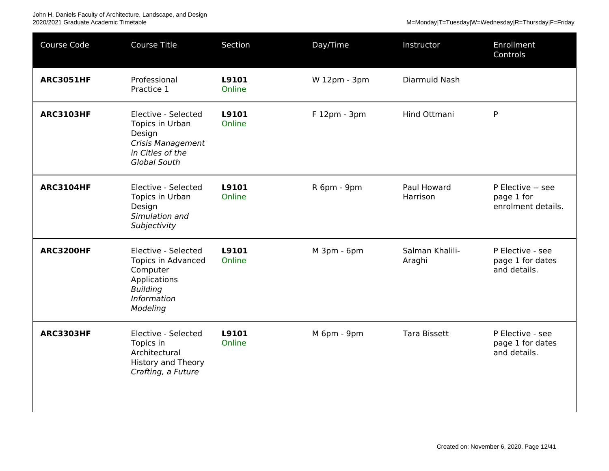| Course Code      | <b>Course Title</b>                                                                                                        | Section         | Day/Time     | Instructor                | Enrollment<br>Controls                                |
|------------------|----------------------------------------------------------------------------------------------------------------------------|-----------------|--------------|---------------------------|-------------------------------------------------------|
| <b>ARC3051HF</b> | Professional<br>Practice 1                                                                                                 | L9101<br>Online | W 12pm - 3pm | Diarmuid Nash             |                                                       |
| <b>ARC3103HF</b> | Elective - Selected<br>Topics in Urban<br>Design<br><b>Crisis Management</b><br>in Cities of the<br>Global South           | L9101<br>Online | F 12pm - 3pm | Hind Ottmani              | P                                                     |
| <b>ARC3104HF</b> | Elective - Selected<br>Topics in Urban<br>Design<br>Simulation and<br>Subjectivity                                         | L9101<br>Online | R 6pm - 9pm  | Paul Howard<br>Harrison   | P Elective -- see<br>page 1 for<br>enrolment details. |
| <b>ARC3200HF</b> | Elective - Selected<br><b>Topics in Advanced</b><br>Computer<br>Applications<br><b>Building</b><br>Information<br>Modeling | L9101<br>Online | M 3pm - 6pm  | Salman Khalili-<br>Araghi | P Elective - see<br>page 1 for dates<br>and details.  |
| <b>ARC3303HF</b> | Elective - Selected<br>Topics in<br>Architectural<br><b>History and Theory</b><br>Crafting, a Future                       | L9101<br>Online | M 6pm - 9pm  | <b>Tara Bissett</b>       | P Elective - see<br>page 1 for dates<br>and details.  |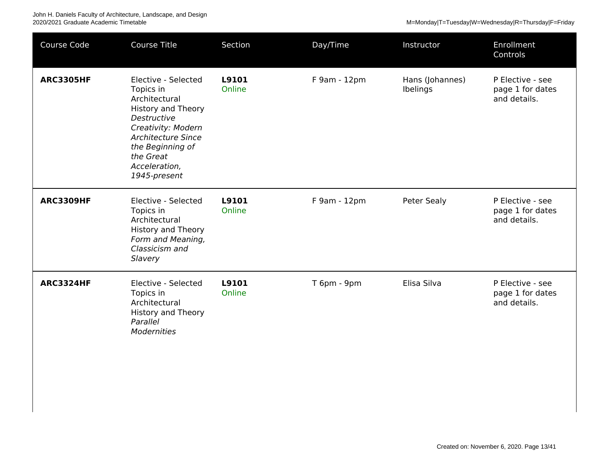| Course Code      | Course Title                                                                                                                                                                                                       | Section         | Day/Time     | Instructor                  | Enrollment<br>Controls                               |
|------------------|--------------------------------------------------------------------------------------------------------------------------------------------------------------------------------------------------------------------|-----------------|--------------|-----------------------------|------------------------------------------------------|
| <b>ARC3305HF</b> | Elective - Selected<br>Topics in<br>Architectural<br><b>History and Theory</b><br>Destructive<br>Creativity: Modern<br><b>Architecture Since</b><br>the Beginning of<br>the Great<br>Acceleration,<br>1945-present | L9101<br>Online | F 9am - 12pm | Hans (Johannes)<br>Ibelings | P Elective - see<br>page 1 for dates<br>and details. |
| <b>ARC3309HF</b> | Elective - Selected<br>Topics in<br>Architectural<br><b>History and Theory</b><br>Form and Meaning,<br>Classicism and<br>Slavery                                                                                   | L9101<br>Online | F 9am - 12pm | Peter Sealy                 | P Elective - see<br>page 1 for dates<br>and details. |
| <b>ARC3324HF</b> | Elective - Selected<br>Topics in<br>Architectural<br><b>History and Theory</b><br>Parallel<br><b>Modernities</b>                                                                                                   | L9101<br>Online | T 6pm - 9pm  | Elisa Silva                 | P Elective - see<br>page 1 for dates<br>and details. |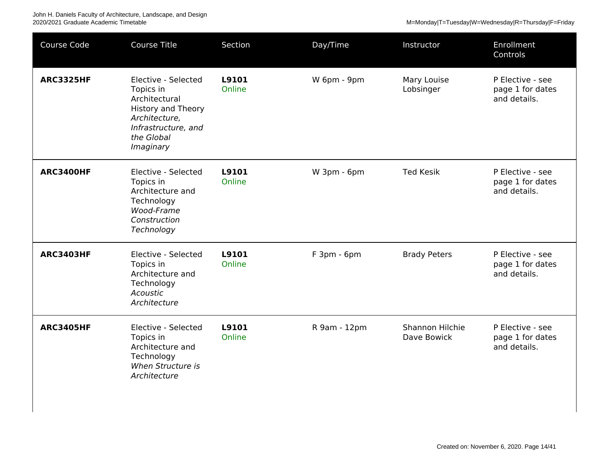| Course Code      | <b>Course Title</b>                                                                                                                        | Section         | Day/Time     | Instructor                     | Enrollment<br>Controls                               |
|------------------|--------------------------------------------------------------------------------------------------------------------------------------------|-----------------|--------------|--------------------------------|------------------------------------------------------|
| <b>ARC3325HF</b> | Elective - Selected<br>Topics in<br>Architectural<br>History and Theory<br>Architecture,<br>Infrastructure, and<br>the Global<br>Imaginary | L9101<br>Online | W 6pm - 9pm  | Mary Louise<br>Lobsinger       | P Elective - see<br>page 1 for dates<br>and details. |
| <b>ARC3400HF</b> | Elective - Selected<br>Topics in<br>Architecture and<br>Technology<br>Wood-Frame<br>Construction<br>Technology                             | L9101<br>Online | W 3pm - 6pm  | <b>Ted Kesik</b>               | P Elective - see<br>page 1 for dates<br>and details. |
| <b>ARC3403HF</b> | Elective - Selected<br>Topics in<br>Architecture and<br>Technology<br>Acoustic<br>Architecture                                             | L9101<br>Online | F 3pm - 6pm  | <b>Brady Peters</b>            | P Elective - see<br>page 1 for dates<br>and details. |
| <b>ARC3405HF</b> | Elective - Selected<br>Topics in<br>Architecture and<br>Technology<br>When Structure is<br>Architecture                                    | L9101<br>Online | R 9am - 12pm | Shannon Hilchie<br>Dave Bowick | P Elective - see<br>page 1 for dates<br>and details. |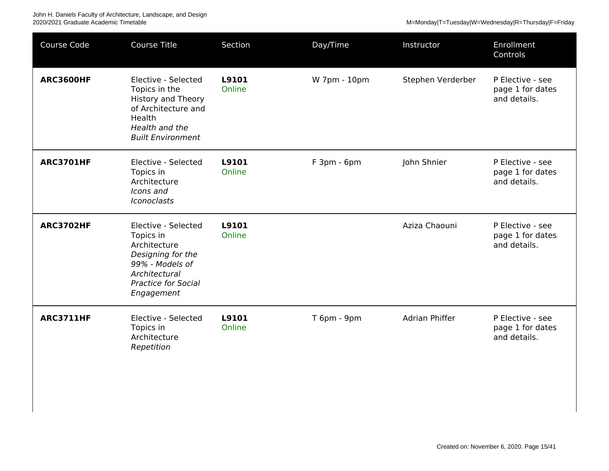John H. Daniels Faculty of Architecture, Landscape, and Design<br>2020/2021 Graduate Academic Timetable

M=Monday|T=Tuesday|W=Wednesday|R=Thursday|F=Friday

| Course Code      | <b>Course Title</b>                                                                                                                                   | Section         | Day/Time     | Instructor        | Enrollment<br>Controls                               |
|------------------|-------------------------------------------------------------------------------------------------------------------------------------------------------|-----------------|--------------|-------------------|------------------------------------------------------|
| <b>ARC3600HF</b> | Elective - Selected<br>Topics in the<br><b>History and Theory</b><br>of Architecture and<br>Health<br>Health and the<br><b>Built Environment</b>      | L9101<br>Online | W 7pm - 10pm | Stephen Verderber | P Elective - see<br>page 1 for dates<br>and details. |
| <b>ARC3701HF</b> | Elective - Selected<br>Topics in<br>Architecture<br>Icons and<br><b>Iconoclasts</b>                                                                   | L9101<br>Online | F 3pm - 6pm  | John Shnier       | P Elective - see<br>page 1 for dates<br>and details. |
| <b>ARC3702HF</b> | Elective - Selected<br>Topics in<br>Architecture<br>Designing for the<br>99% - Models of<br>Architectural<br><b>Practice for Social</b><br>Engagement | L9101<br>Online |              | Aziza Chaouni     | P Elective - see<br>page 1 for dates<br>and details. |
| <b>ARC3711HF</b> | Elective - Selected<br>Topics in<br>Architecture<br>Repetition                                                                                        | L9101<br>Online | T 6pm - 9pm  | Adrian Phiffer    | P Elective - see<br>page 1 for dates<br>and details. |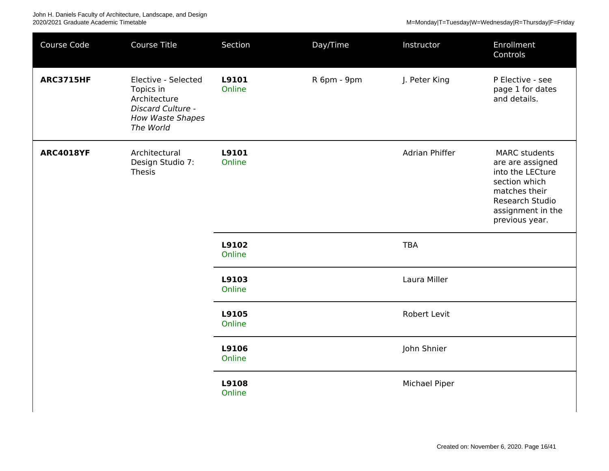| Course Code      | Course Title                                                                                                  | Section         | Day/Time    | Instructor     | Enrollment<br>Controls                                                                                                                                   |
|------------------|---------------------------------------------------------------------------------------------------------------|-----------------|-------------|----------------|----------------------------------------------------------------------------------------------------------------------------------------------------------|
| <b>ARC3715HF</b> | Elective - Selected<br>Topics in<br>Architecture<br>Discard Culture -<br><b>How Waste Shapes</b><br>The World | L9101<br>Online | R 6pm - 9pm | J. Peter King  | P Elective - see<br>page 1 for dates<br>and details.                                                                                                     |
| <b>ARC4018YF</b> | Architectural<br>Design Studio 7:<br>Thesis                                                                   | L9101<br>Online |             | Adrian Phiffer | <b>MARC</b> students<br>are are assigned<br>into the LECture<br>section which<br>matches their<br>Research Studio<br>assignment in the<br>previous year. |
|                  |                                                                                                               | L9102<br>Online |             | <b>TBA</b>     |                                                                                                                                                          |
|                  |                                                                                                               | L9103<br>Online |             | Laura Miller   |                                                                                                                                                          |
|                  |                                                                                                               | L9105<br>Online |             | Robert Levit   |                                                                                                                                                          |
|                  |                                                                                                               | L9106<br>Online |             | John Shnier    |                                                                                                                                                          |
|                  |                                                                                                               | L9108<br>Online |             | Michael Piper  |                                                                                                                                                          |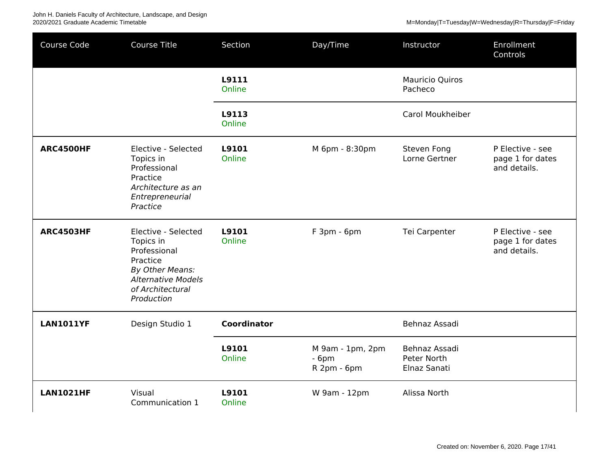John H. Daniels Faculty of Architecture, Landscape, and Design<br>2020/2021 Graduate Academic Timetable

| Course Code      | <b>Course Title</b>                                                                                                                            | Section            | Day/Time                                  | Instructor                                   | Enrollment<br>Controls                               |
|------------------|------------------------------------------------------------------------------------------------------------------------------------------------|--------------------|-------------------------------------------|----------------------------------------------|------------------------------------------------------|
|                  |                                                                                                                                                | L9111<br>Online    |                                           | <b>Mauricio Quiros</b><br>Pacheco            |                                                      |
|                  |                                                                                                                                                | L9113<br>Online    |                                           | Carol Moukheiber                             |                                                      |
| <b>ARC4500HF</b> | Elective - Selected<br>Topics in<br>Professional<br>Practice<br>Architecture as an<br>Entrepreneurial<br>Practice                              | L9101<br>Online    | M 6pm - 8:30pm                            | Steven Fong<br>Lorne Gertner                 | P Elective - see<br>page 1 for dates<br>and details. |
| <b>ARC4503HF</b> | Elective - Selected<br>Topics in<br>Professional<br>Practice<br>By Other Means:<br><b>Alternative Models</b><br>of Architectural<br>Production | L9101<br>Online    | F 3pm - 6pm                               | Tei Carpenter                                | P Elective - see<br>page 1 for dates<br>and details. |
| <b>LAN1011YF</b> | Design Studio 1                                                                                                                                | <b>Coordinator</b> |                                           | Behnaz Assadi                                |                                                      |
|                  |                                                                                                                                                | L9101<br>Online    | M 9am - 1pm, 2pm<br>$-6pm$<br>R 2pm - 6pm | Behnaz Assadi<br>Peter North<br>Elnaz Sanati |                                                      |
| <b>LAN1021HF</b> | Visual<br>Communication 1                                                                                                                      | L9101<br>Online    | W 9am - 12pm                              | Alissa North                                 |                                                      |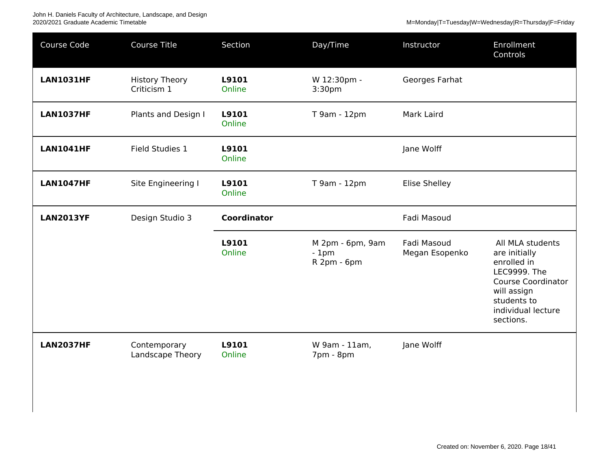| Course Code      | <b>Course Title</b>                  | Section            | Day/Time                                  | Instructor                    | Enrollment<br>Controls                                                                                                                                         |
|------------------|--------------------------------------|--------------------|-------------------------------------------|-------------------------------|----------------------------------------------------------------------------------------------------------------------------------------------------------------|
| <b>LAN1031HF</b> | <b>History Theory</b><br>Criticism 1 | L9101<br>Online    | W 12:30pm -<br>3:30 <sub>pm</sub>         | Georges Farhat                |                                                                                                                                                                |
| <b>LAN1037HF</b> | Plants and Design I                  | L9101<br>Online    | T 9am - 12pm                              | Mark Laird                    |                                                                                                                                                                |
| <b>LAN1041HF</b> | Field Studies 1                      | L9101<br>Online    |                                           | Jane Wolff                    |                                                                                                                                                                |
| <b>LAN1047HF</b> | Site Engineering I                   | L9101<br>Online    | T 9am - 12pm                              | <b>Elise Shelley</b>          |                                                                                                                                                                |
| <b>LAN2013YF</b> | Design Studio 3                      | <b>Coordinator</b> |                                           | Fadi Masoud                   |                                                                                                                                                                |
|                  |                                      | L9101<br>Online    | M 2pm - 6pm, 9am<br>$-1pm$<br>R 2pm - 6pm | Fadi Masoud<br>Megan Esopenko | All MLA students<br>are initially<br>enrolled in<br>LEC9999. The<br><b>Course Coordinator</b><br>will assign<br>students to<br>individual lecture<br>sections. |
| <b>LAN2037HF</b> | Contemporary<br>Landscape Theory     | L9101<br>Online    | W 9am - 11am,<br>7pm - 8pm                | Jane Wolff                    |                                                                                                                                                                |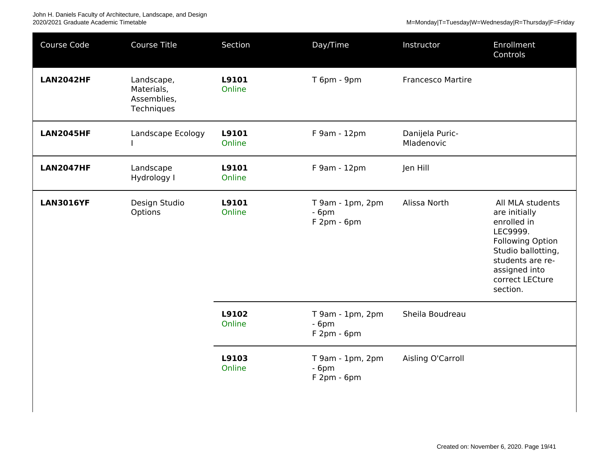| Course Code      | <b>Course Title</b>                                   | Section         | Day/Time                                      | Instructor                    | Enrollment<br>Controls                                                                                                                                                            |
|------------------|-------------------------------------------------------|-----------------|-----------------------------------------------|-------------------------------|-----------------------------------------------------------------------------------------------------------------------------------------------------------------------------------|
| <b>LAN2042HF</b> | Landscape,<br>Materials,<br>Assemblies,<br>Techniques | L9101<br>Online | T 6pm - 9pm                                   | <b>Francesco Martire</b>      |                                                                                                                                                                                   |
| <b>LAN2045HF</b> | Landscape Ecology                                     | L9101<br>Online | F 9am - 12pm                                  | Danijela Puric-<br>Mladenovic |                                                                                                                                                                                   |
| <b>LAN2047HF</b> | Landscape<br>Hydrology I                              | L9101<br>Online | F 9am - 12pm                                  | Jen Hill                      |                                                                                                                                                                                   |
| <b>LAN3016YF</b> | Design Studio<br>Options                              | L9101<br>Online | $T 9am - 1pm$ , 2pm<br>$-6pm$<br>$F2pm - 6pm$ | Alissa North                  | All MLA students<br>are initially<br>enrolled in<br>LEC9999.<br><b>Following Option</b><br>Studio ballotting,<br>students are re-<br>assigned into<br>correct LECture<br>section. |
|                  |                                                       | L9102<br>Online | T 9am - 1pm, 2pm<br>$-6pm$<br>$F2pm - 6pm$    | Sheila Boudreau               |                                                                                                                                                                                   |
|                  |                                                       | L9103<br>Online | $T 9am - 1pm$ , 2pm<br>$-6pm$<br>$F2pm - 6pm$ | Aisling O'Carroll             |                                                                                                                                                                                   |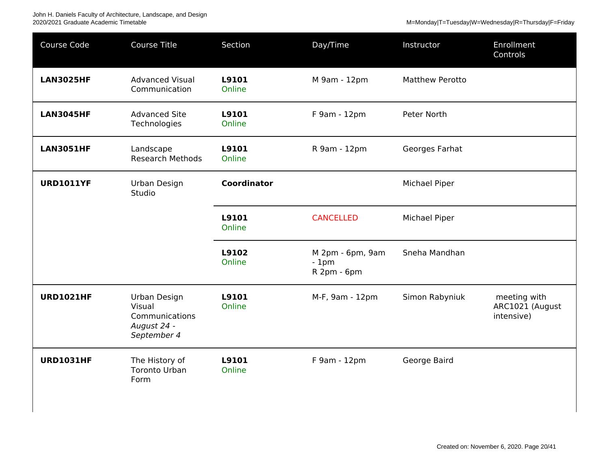| Course Code      | <b>Course Title</b>                                                    | Section            | Day/Time                                  | Instructor             | Enrollment<br>Controls                        |
|------------------|------------------------------------------------------------------------|--------------------|-------------------------------------------|------------------------|-----------------------------------------------|
| <b>LAN3025HF</b> | <b>Advanced Visual</b><br>Communication                                | L9101<br>Online    | M 9am - 12pm                              | <b>Matthew Perotto</b> |                                               |
| <b>LAN3045HF</b> | <b>Advanced Site</b><br>Technologies                                   | L9101<br>Online    | F 9am - 12pm                              | Peter North            |                                               |
| <b>LAN3051HF</b> | Landscape<br><b>Research Methods</b>                                   | L9101<br>Online    | R 9am - 12pm                              | Georges Farhat         |                                               |
| <b>URD1011YF</b> | Urban Design<br>Studio                                                 | <b>Coordinator</b> |                                           | Michael Piper          |                                               |
|                  |                                                                        | L9101<br>Online    | <b>CANCELLED</b>                          | Michael Piper          |                                               |
|                  |                                                                        | L9102<br>Online    | M 2pm - 6pm, 9am<br>$-1pm$<br>R 2pm - 6pm | Sneha Mandhan          |                                               |
| <b>URD1021HF</b> | Urban Design<br>Visual<br>Communications<br>August 24 -<br>September 4 | L9101<br>Online    | M-F, 9am - 12pm                           | Simon Rabyniuk         | meeting with<br>ARC1021 (August<br>intensive) |
| <b>URD1031HF</b> | The History of<br><b>Toronto Urban</b><br>Form                         | L9101<br>Online    | F 9am - 12pm                              | George Baird           |                                               |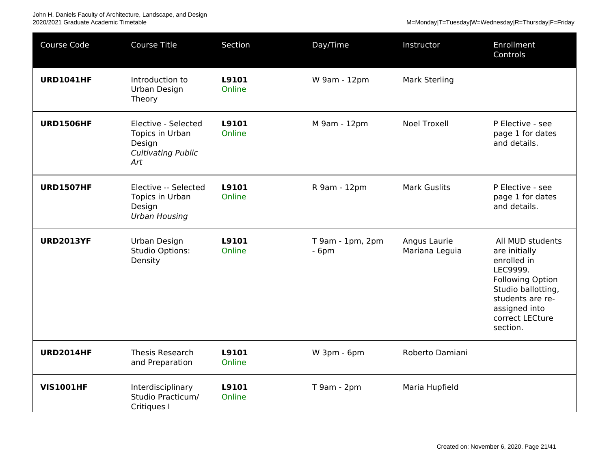John H. Daniels Faculty of Architecture, Landscape, and Design<br>2020/2021 Graduate Academic Timetable

| Course Code      | <b>Course Title</b>                                                                  | Section         | Day/Time                   | Instructor                     | Enrollment<br>Controls                                                                                                                                                            |
|------------------|--------------------------------------------------------------------------------------|-----------------|----------------------------|--------------------------------|-----------------------------------------------------------------------------------------------------------------------------------------------------------------------------------|
| <b>URD1041HF</b> | Introduction to<br>Urban Design<br>Theory                                            | L9101<br>Online | W 9am - 12pm               | <b>Mark Sterling</b>           |                                                                                                                                                                                   |
| <b>URD1506HF</b> | Elective - Selected<br>Topics in Urban<br>Design<br><b>Cultivating Public</b><br>Art | L9101<br>Online | M 9am - 12pm               | <b>Noel Troxell</b>            | P Elective - see<br>page 1 for dates<br>and details.                                                                                                                              |
| <b>URD1507HF</b> | Elective -- Selected<br>Topics in Urban<br>Design<br><b>Urban Housing</b>            | L9101<br>Online | R 9am - 12pm               | <b>Mark Guslits</b>            | P Elective - see<br>page 1 for dates<br>and details.                                                                                                                              |
| <b>URD2013YF</b> | Urban Design<br><b>Studio Options:</b><br>Density                                    | L9101<br>Online | T 9am - 1pm, 2pm<br>$-6pm$ | Angus Laurie<br>Mariana Leguia | All MUD students<br>are initially<br>enrolled in<br>LEC9999.<br><b>Following Option</b><br>Studio ballotting,<br>students are re-<br>assigned into<br>correct LECture<br>section. |
| <b>URD2014HF</b> | <b>Thesis Research</b><br>and Preparation                                            | L9101<br>Online | W 3pm - 6pm                | Roberto Damiani                |                                                                                                                                                                                   |
| <b>VIS1001HF</b> | Interdisciplinary<br>Studio Practicum/<br>Critiques I                                | L9101<br>Online | T 9am - 2pm                | Maria Hupfield                 |                                                                                                                                                                                   |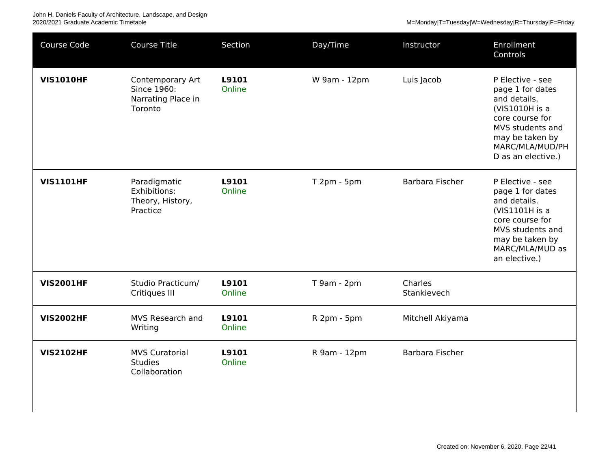| Course Code      | <b>Course Title</b>                                              | Section         | Day/Time     | Instructor             | Enrollment<br>Controls                                                                                                                                                    |
|------------------|------------------------------------------------------------------|-----------------|--------------|------------------------|---------------------------------------------------------------------------------------------------------------------------------------------------------------------------|
| <b>VIS1010HF</b> | Contemporary Art<br>Since 1960:<br>Narrating Place in<br>Toronto | L9101<br>Online | W 9am - 12pm | Luis Jacob             | P Elective - see<br>page 1 for dates<br>and details.<br>(VIS1010H is a<br>core course for<br>MVS students and<br>may be taken by<br>MARC/MLA/MUD/PH<br>D as an elective.) |
| <b>VIS1101HF</b> | Paradigmatic<br>Exhibitions:<br>Theory, History,<br>Practice     | L9101<br>Online | T 2pm - 5pm  | Barbara Fischer        | P Elective - see<br>page 1 for dates<br>and details.<br>(VIS1101H is a<br>core course for<br>MVS students and<br>may be taken by<br>MARC/MLA/MUD as<br>an elective.)      |
| <b>VIS2001HF</b> | Studio Practicum/<br>Critiques III                               | L9101<br>Online | T 9am - 2pm  | Charles<br>Stankievech |                                                                                                                                                                           |
| <b>VIS2002HF</b> | MVS Research and<br>Writing                                      | L9101<br>Online | R 2pm - 5pm  | Mitchell Akiyama       |                                                                                                                                                                           |
| <b>VIS2102HF</b> | <b>MVS Curatorial</b><br><b>Studies</b><br>Collaboration         | L9101<br>Online | R 9am - 12pm | Barbara Fischer        |                                                                                                                                                                           |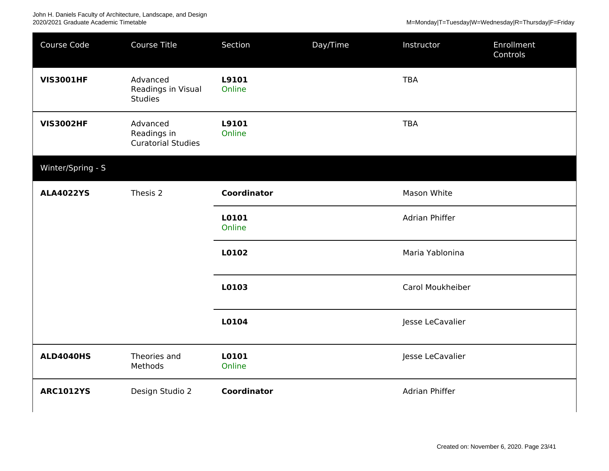| Course Code       | Course Title                                         | Section            | Day/Time | Instructor            | Enrollment<br>Controls |
|-------------------|------------------------------------------------------|--------------------|----------|-----------------------|------------------------|
| <b>VIS3001HF</b>  | Advanced<br>Readings in Visual<br><b>Studies</b>     | L9101<br>Online    |          | <b>TBA</b>            |                        |
| <b>VIS3002HF</b>  | Advanced<br>Readings in<br><b>Curatorial Studies</b> | L9101<br>Online    |          | <b>TBA</b>            |                        |
| Winter/Spring - S |                                                      |                    |          |                       |                        |
| <b>ALA4022YS</b>  | Thesis 2                                             | Coordinator        |          | Mason White           |                        |
|                   |                                                      | L0101<br>Online    |          | Adrian Phiffer        |                        |
|                   |                                                      | L0102              |          | Maria Yablonina       |                        |
|                   |                                                      | L0103              |          | Carol Moukheiber      |                        |
|                   |                                                      | L0104              |          | Jesse LeCavalier      |                        |
| <b>ALD4040HS</b>  | Theories and<br>Methods                              | L0101<br>Online    |          | Jesse LeCavalier      |                        |
| <b>ARC1012YS</b>  | Design Studio 2                                      | <b>Coordinator</b> |          | <b>Adrian Phiffer</b> |                        |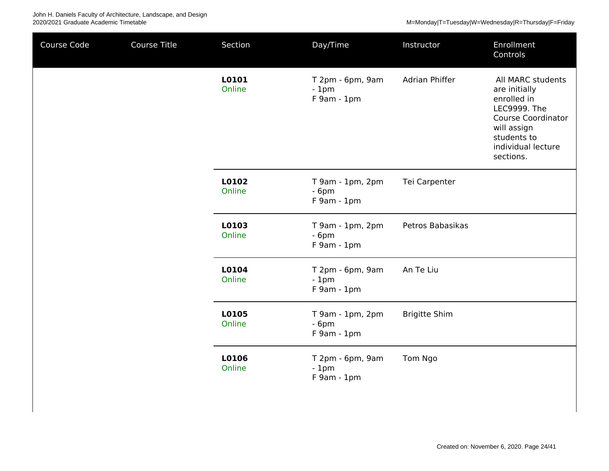| Course Code | Course Title | Section         | Day/Time                                    | Instructor           | Enrollment<br>Controls                                                                                                                                          |
|-------------|--------------|-----------------|---------------------------------------------|----------------------|-----------------------------------------------------------------------------------------------------------------------------------------------------------------|
|             |              | L0101<br>Online | T 2pm - 6pm, 9am<br>$-1pm$<br>$F$ 9am - 1pm | Adrian Phiffer       | All MARC students<br>are initially<br>enrolled in<br>LEC9999. The<br><b>Course Coordinator</b><br>will assign<br>students to<br>individual lecture<br>sections. |
|             |              | L0102<br>Online | T 9am - 1pm, 2pm<br>$-6pm$<br>$F$ 9am - 1pm | Tei Carpenter        |                                                                                                                                                                 |
|             |              | L0103<br>Online | T 9am - 1pm, 2pm<br>$-6pm$<br>F 9am - 1pm   | Petros Babasikas     |                                                                                                                                                                 |
|             |              | L0104<br>Online | T 2pm - 6pm, 9am<br>$-1pm$<br>F 9am - 1pm   | An Te Liu            |                                                                                                                                                                 |
|             |              | L0105<br>Online | $T$ 9am - 1pm, 2pm<br>$-6pm$<br>F 9am - 1pm | <b>Brigitte Shim</b> |                                                                                                                                                                 |
|             |              | L0106<br>Online | T 2pm - 6pm, 9am<br>$-1pm$<br>F 9am - 1pm   | Tom Ngo              |                                                                                                                                                                 |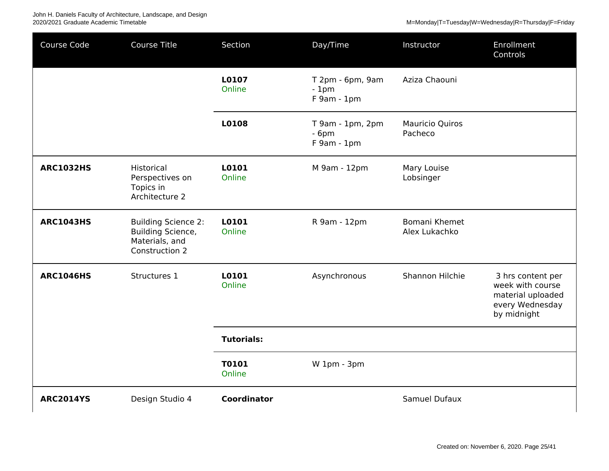| Course Code      | <b>Course Title</b>                                                                 | Section                | Day/Time                                    | Instructor                     | Enrollment<br>Controls                                                                       |
|------------------|-------------------------------------------------------------------------------------|------------------------|---------------------------------------------|--------------------------------|----------------------------------------------------------------------------------------------|
|                  |                                                                                     | L0107<br>Online        | T 2pm - 6pm, 9am<br>$-1pm$<br>$F$ 9am - 1pm | Aziza Chaouni                  |                                                                                              |
|                  |                                                                                     | L0108                  | T 9am - 1pm, 2pm<br>$-6pm$<br>$F$ 9am - 1pm | Mauricio Quiros<br>Pacheco     |                                                                                              |
| <b>ARC1032HS</b> | Historical<br>Perspectives on<br>Topics in<br>Architecture 2                        | L0101<br>Online        | M 9am - 12pm                                | Mary Louise<br>Lobsinger       |                                                                                              |
| <b>ARC1043HS</b> | <b>Building Science 2:</b><br>Building Science,<br>Materials, and<br>Construction 2 | L0101<br>Online        | R 9am - 12pm                                | Bomani Khemet<br>Alex Lukachko |                                                                                              |
| <b>ARC1046HS</b> | Structures 1                                                                        | L0101<br>Online        | Asynchronous                                | Shannon Hilchie                | 3 hrs content per<br>week with course<br>material uploaded<br>every Wednesday<br>by midnight |
|                  |                                                                                     | <b>Tutorials:</b>      |                                             |                                |                                                                                              |
|                  |                                                                                     | <b>T0101</b><br>Online | W 1pm - 3pm                                 |                                |                                                                                              |
| <b>ARC2014YS</b> | Design Studio 4                                                                     | <b>Coordinator</b>     |                                             | Samuel Dufaux                  |                                                                                              |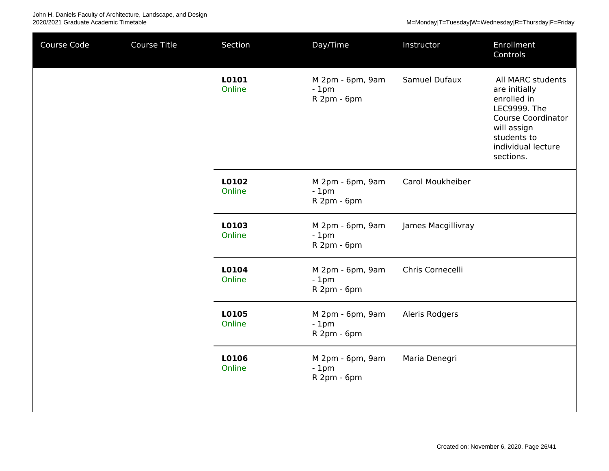| Course Code | Course Title | Section         | Day/Time                                  | Instructor         | Enrollment<br>Controls                                                                                                                                                 |
|-------------|--------------|-----------------|-------------------------------------------|--------------------|------------------------------------------------------------------------------------------------------------------------------------------------------------------------|
|             |              | L0101<br>Online | M 2pm - 6pm, 9am<br>$-1pm$<br>R 2pm - 6pm | Samuel Dufaux      | All MARC students<br>are initially<br>enrolled in<br><b>LEC9999. The</b><br><b>Course Coordinator</b><br>will assign<br>students to<br>individual lecture<br>sections. |
|             |              | L0102<br>Online | M 2pm - 6pm, 9am<br>$-1pm$<br>R 2pm - 6pm | Carol Moukheiber   |                                                                                                                                                                        |
|             |              | L0103<br>Online | M 2pm - 6pm, 9am<br>$-1pm$<br>R 2pm - 6pm | James Macgillivray |                                                                                                                                                                        |
|             |              | L0104<br>Online | M 2pm - 6pm, 9am<br>$-1pm$<br>R 2pm - 6pm | Chris Cornecelli   |                                                                                                                                                                        |
|             |              | L0105<br>Online | M 2pm - 6pm, 9am<br>$-1pm$<br>R 2pm - 6pm | Aleris Rodgers     |                                                                                                                                                                        |
|             |              | L0106<br>Online | M 2pm - 6pm, 9am<br>$-1pm$<br>R 2pm - 6pm | Maria Denegri      |                                                                                                                                                                        |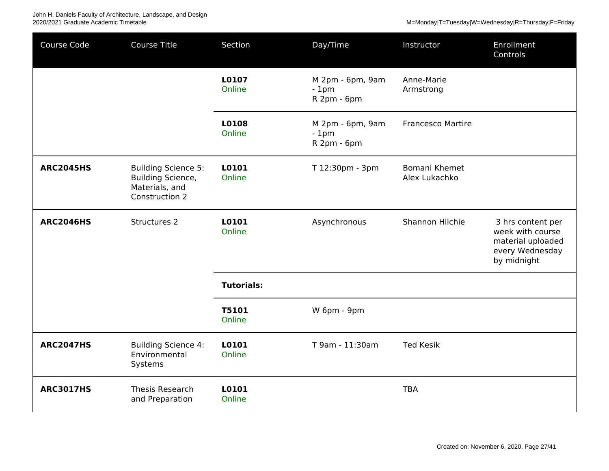John H. Daniels Faculty of Architecture, Landscape, and Design<br>2020/2021 Graduate Academic Timetable

| Course Code      | <b>Course Title</b>                                                                 | Section                | Day/Time                                  | Instructor                     | Enrollment<br>Controls                                                                       |
|------------------|-------------------------------------------------------------------------------------|------------------------|-------------------------------------------|--------------------------------|----------------------------------------------------------------------------------------------|
|                  |                                                                                     | L0107<br>Online        | M 2pm - 6pm, 9am<br>$-1pm$<br>R 2pm - 6pm | Anne-Marie<br>Armstrong        |                                                                                              |
|                  |                                                                                     | L0108<br>Online        | M 2pm - 6pm, 9am<br>$-1pm$<br>R 2pm - 6pm | <b>Francesco Martire</b>       |                                                                                              |
| <b>ARC2045HS</b> | <b>Building Science 5:</b><br>Building Science,<br>Materials, and<br>Construction 2 | L0101<br>Online        | T 12:30pm - 3pm                           | Bomani Khemet<br>Alex Lukachko |                                                                                              |
| <b>ARC2046HS</b> | Structures 2                                                                        | L0101<br>Online        | Asynchronous                              | Shannon Hilchie                | 3 hrs content per<br>week with course<br>material uploaded<br>every Wednesday<br>by midnight |
|                  |                                                                                     | <b>Tutorials:</b>      |                                           |                                |                                                                                              |
|                  |                                                                                     | <b>T5101</b><br>Online | W 6pm - 9pm                               |                                |                                                                                              |
| <b>ARC2047HS</b> | <b>Building Science 4:</b><br>Environmental<br>Systems                              | L0101<br>Online        | T 9am - 11:30am                           | <b>Ted Kesik</b>               |                                                                                              |
| <b>ARC3017HS</b> | Thesis Research<br>and Preparation                                                  | L0101<br>Online        |                                           | <b>TBA</b>                     |                                                                                              |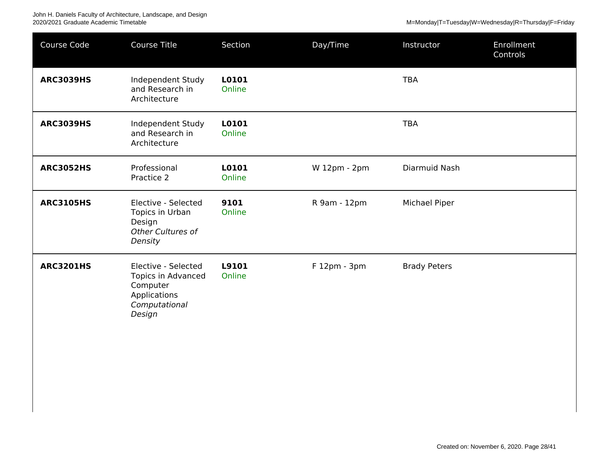| Course Code      | <b>Course Title</b>                                                                              | Section         | Day/Time     | Instructor          | Enrollment<br>Controls |
|------------------|--------------------------------------------------------------------------------------------------|-----------------|--------------|---------------------|------------------------|
| <b>ARC3039HS</b> | Independent Study<br>and Research in<br>Architecture                                             | L0101<br>Online |              | <b>TBA</b>          |                        |
| <b>ARC3039HS</b> | Independent Study<br>and Research in<br>Architecture                                             | L0101<br>Online |              | <b>TBA</b>          |                        |
| <b>ARC3052HS</b> | Professional<br>Practice 2                                                                       | L0101<br>Online | W 12pm - 2pm | Diarmuid Nash       |                        |
| <b>ARC3105HS</b> | Elective - Selected<br>Topics in Urban<br>Design<br>Other Cultures of<br>Density                 | 9101<br>Online  | R 9am - 12pm | Michael Piper       |                        |
| <b>ARC3201HS</b> | Elective - Selected<br>Topics in Advanced<br>Computer<br>Applications<br>Computational<br>Design | L9101<br>Online | F 12pm - 3pm | <b>Brady Peters</b> |                        |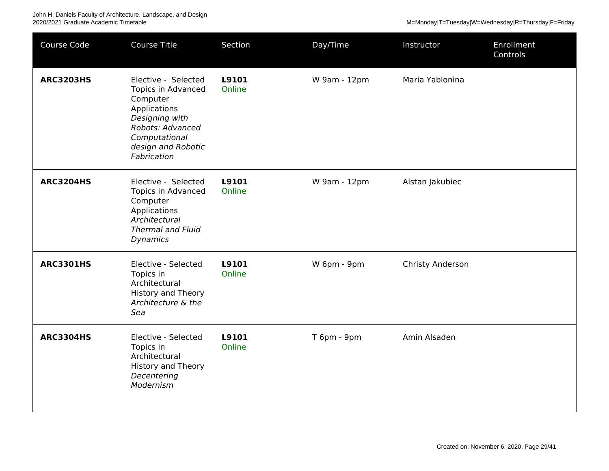| Course Code      | <b>Course Title</b>                                                                                                                                               | Section         | Day/Time     | Instructor       | Enrollment<br>Controls |
|------------------|-------------------------------------------------------------------------------------------------------------------------------------------------------------------|-----------------|--------------|------------------|------------------------|
| <b>ARC3203HS</b> | Elective - Selected<br>Topics in Advanced<br>Computer<br>Applications<br>Designing with<br>Robots: Advanced<br>Computational<br>design and Robotic<br>Fabrication | L9101<br>Online | W 9am - 12pm | Maria Yablonina  |                        |
| <b>ARC3204HS</b> | Elective - Selected<br>Topics in Advanced<br>Computer<br>Applications<br>Architectural<br><b>Thermal and Fluid</b><br><b>Dynamics</b>                             | L9101<br>Online | W 9am - 12pm | Alstan Jakubiec  |                        |
| <b>ARC3301HS</b> | Elective - Selected<br>Topics in<br>Architectural<br>History and Theory<br>Architecture & the<br>Sea                                                              | L9101<br>Online | W 6pm - 9pm  | Christy Anderson |                        |
| <b>ARC3304HS</b> | Elective - Selected<br>Topics in<br>Architectural<br>History and Theory<br>Decentering<br>Modernism                                                               | L9101<br>Online | T 6pm - 9pm  | Amin Alsaden     |                        |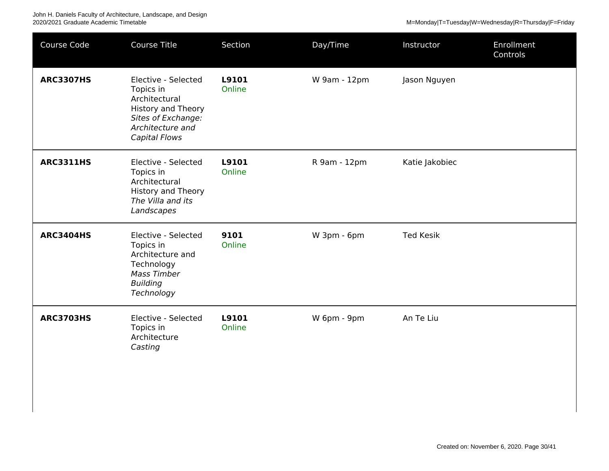| Course Code      | Course Title                                                                                                                                     | Section         | Day/Time     | Instructor       | Enrollment<br>Controls |
|------------------|--------------------------------------------------------------------------------------------------------------------------------------------------|-----------------|--------------|------------------|------------------------|
| <b>ARC3307HS</b> | Elective - Selected<br>Topics in<br>Architectural<br><b>History and Theory</b><br>Sites of Exchange:<br>Architecture and<br><b>Capital Flows</b> | L9101<br>Online | W 9am - 12pm | Jason Nguyen     |                        |
| <b>ARC3311HS</b> | Elective - Selected<br>Topics in<br>Architectural<br><b>History and Theory</b><br>The Villa and its<br>Landscapes                                | L9101<br>Online | R 9am - 12pm | Katie Jakobiec   |                        |
| <b>ARC3404HS</b> | Elective - Selected<br>Topics in<br>Architecture and<br>Technology<br><b>Mass Timber</b><br><b>Building</b><br>Technology                        | 9101<br>Online  | W 3pm - 6pm  | <b>Ted Kesik</b> |                        |
| <b>ARC3703HS</b> | Elective - Selected<br>Topics in<br>Architecture<br>Casting                                                                                      | L9101<br>Online | W 6pm - 9pm  | An Te Liu        |                        |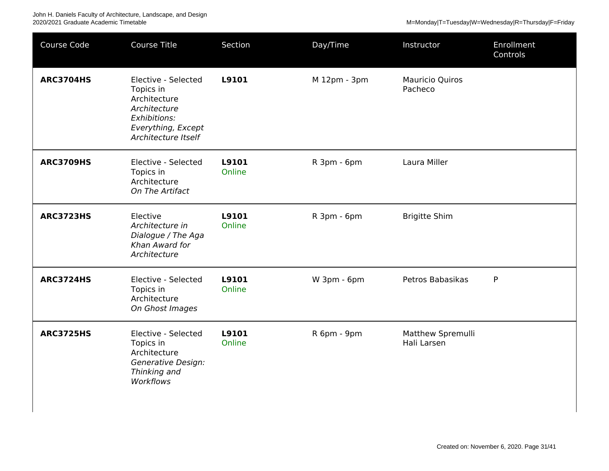| Course Code      | <b>Course Title</b>                                                                                                           | Section         | Day/Time     | Instructor                        | Enrollment<br>Controls |
|------------------|-------------------------------------------------------------------------------------------------------------------------------|-----------------|--------------|-----------------------------------|------------------------|
| <b>ARC3704HS</b> | Elective - Selected<br>Topics in<br>Architecture<br>Architecture<br>Exhibitions:<br>Everything, Except<br>Architecture Itself | L9101           | M 12pm - 3pm | <b>Mauricio Quiros</b><br>Pacheco |                        |
| <b>ARC3709HS</b> | Elective - Selected<br>Topics in<br>Architecture<br>On The Artifact                                                           | L9101<br>Online | R 3pm - 6pm  | Laura Miller                      |                        |
| <b>ARC3723HS</b> | Elective<br>Architecture in<br>Dialogue / The Aga<br>Khan Award for<br>Architecture                                           | L9101<br>Online | R 3pm - 6pm  | <b>Brigitte Shim</b>              |                        |
| <b>ARC3724HS</b> | Elective - Selected<br>Topics in<br>Architecture<br>On Ghost Images                                                           | L9101<br>Online | W 3pm - 6pm  | Petros Babasikas                  | P                      |
| <b>ARC3725HS</b> | Elective - Selected<br>Topics in<br>Architecture<br><b>Generative Design:</b><br>Thinking and<br>Workflows                    | L9101<br>Online | R 6pm - 9pm  | Matthew Spremulli<br>Hali Larsen  |                        |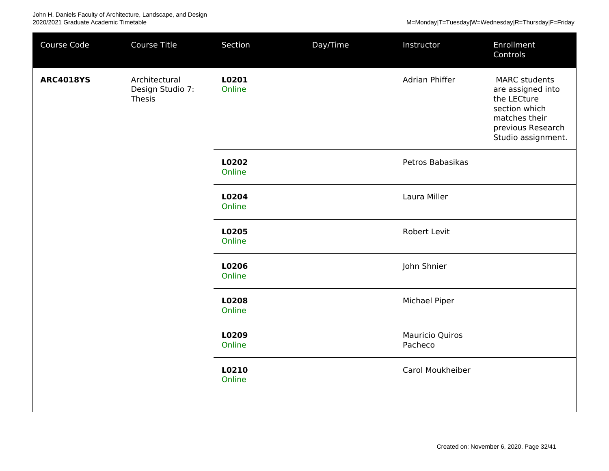| Course Code                | Course Title                      | Section         | Day/Time | Instructor                        | Enrollment<br>Controls                                                                                                                |
|----------------------------|-----------------------------------|-----------------|----------|-----------------------------------|---------------------------------------------------------------------------------------------------------------------------------------|
| <b>ARC4018YS</b><br>Thesis | Architectural<br>Design Studio 7: | L0201<br>Online |          | Adrian Phiffer                    | <b>MARC</b> students<br>are assigned into<br>the LECture<br>section which<br>matches their<br>previous Research<br>Studio assignment. |
|                            |                                   | L0202<br>Online |          | Petros Babasikas                  |                                                                                                                                       |
|                            |                                   | L0204<br>Online |          | Laura Miller                      |                                                                                                                                       |
|                            |                                   | L0205<br>Online |          | Robert Levit                      |                                                                                                                                       |
|                            |                                   | L0206<br>Online |          | John Shnier                       |                                                                                                                                       |
|                            |                                   | L0208<br>Online |          | Michael Piper                     |                                                                                                                                       |
|                            |                                   | L0209<br>Online |          | <b>Mauricio Quiros</b><br>Pacheco |                                                                                                                                       |
|                            |                                   | L0210<br>Online |          | Carol Moukheiber                  |                                                                                                                                       |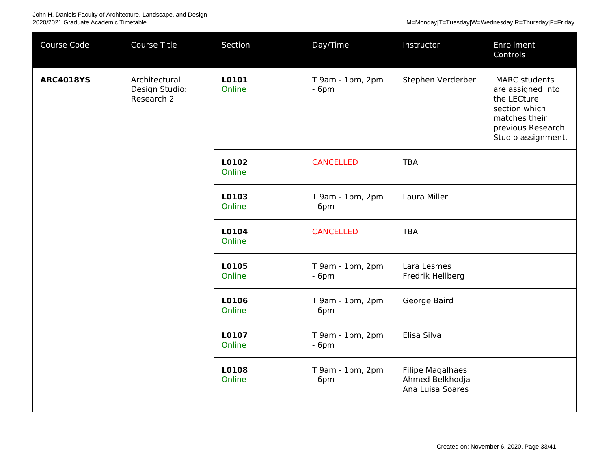| Course Code      | Course Title                                  | Section         | Day/Time                   | Instructor                                                     | Enrollment<br>Controls                                                                                                                |
|------------------|-----------------------------------------------|-----------------|----------------------------|----------------------------------------------------------------|---------------------------------------------------------------------------------------------------------------------------------------|
| <b>ARC4018YS</b> | Architectural<br>Design Studio:<br>Research 2 | L0101<br>Online | T 9am - 1pm, 2pm<br>$-6pm$ | Stephen Verderber                                              | <b>MARC</b> students<br>are assigned into<br>the LECture<br>section which<br>matches their<br>previous Research<br>Studio assignment. |
|                  |                                               | L0102<br>Online | <b>CANCELLED</b>           | <b>TBA</b>                                                     |                                                                                                                                       |
|                  |                                               | L0103<br>Online | T 9am - 1pm, 2pm<br>$-6pm$ | Laura Miller                                                   |                                                                                                                                       |
|                  |                                               | L0104<br>Online | <b>CANCELLED</b>           | <b>TBA</b>                                                     |                                                                                                                                       |
|                  |                                               | L0105<br>Online | T 9am - 1pm, 2pm<br>$-6pm$ | Lara Lesmes<br>Fredrik Hellberg                                |                                                                                                                                       |
|                  |                                               | L0106<br>Online | T 9am - 1pm, 2pm<br>$-6pm$ | George Baird                                                   |                                                                                                                                       |
|                  |                                               | L0107<br>Online | T 9am - 1pm, 2pm<br>$-6pm$ | Elisa Silva                                                    |                                                                                                                                       |
|                  |                                               | L0108<br>Online | T 9am - 1pm, 2pm<br>$-6pm$ | <b>Filipe Magalhaes</b><br>Ahmed Belkhodja<br>Ana Luisa Soares |                                                                                                                                       |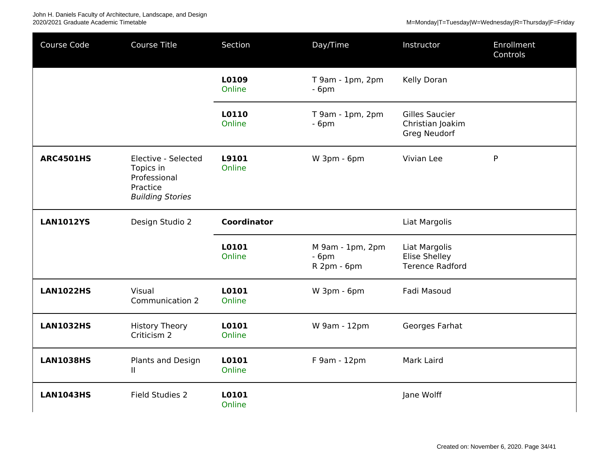| Course Code      | <b>Course Title</b>                                                                     | Section            | Day/Time                                  | Instructor                                                       | Enrollment<br>Controls |
|------------------|-----------------------------------------------------------------------------------------|--------------------|-------------------------------------------|------------------------------------------------------------------|------------------------|
|                  |                                                                                         | L0109<br>Online    | T 9am - 1pm, 2pm<br>$-6pm$                | Kelly Doran                                                      |                        |
|                  |                                                                                         | L0110<br>Online    | T 9am - 1pm, 2pm<br>$-6pm$                | <b>Gilles Saucier</b><br>Christian Joakim<br><b>Greg Neudorf</b> |                        |
| <b>ARC4501HS</b> | Elective - Selected<br>Topics in<br>Professional<br>Practice<br><b>Building Stories</b> | L9101<br>Online    | W 3pm - 6pm                               | Vivian Lee                                                       | P                      |
| <b>LAN1012YS</b> | Design Studio 2                                                                         | <b>Coordinator</b> |                                           | Liat Margolis                                                    |                        |
|                  |                                                                                         | L0101<br>Online    | M 9am - 1pm, 2pm<br>$-6pm$<br>R 2pm - 6pm | Liat Margolis<br><b>Elise Shelley</b><br><b>Terence Radford</b>  |                        |
| <b>LAN1022HS</b> | Visual<br>Communication 2                                                               | L0101<br>Online    | W 3pm - 6pm                               | Fadi Masoud                                                      |                        |
| <b>LAN1032HS</b> | <b>History Theory</b><br>Criticism 2                                                    | L0101<br>Online    | W 9am - 12pm                              | Georges Farhat                                                   |                        |
| <b>LAN1038HS</b> | Plants and Design<br>Ш                                                                  | L0101<br>Online    | F 9am - 12pm                              | Mark Laird                                                       |                        |
| <b>LAN1043HS</b> | Field Studies 2                                                                         | L0101<br>Online    |                                           | Jane Wolff                                                       |                        |

Created on: November 6, 2020. Page 34/41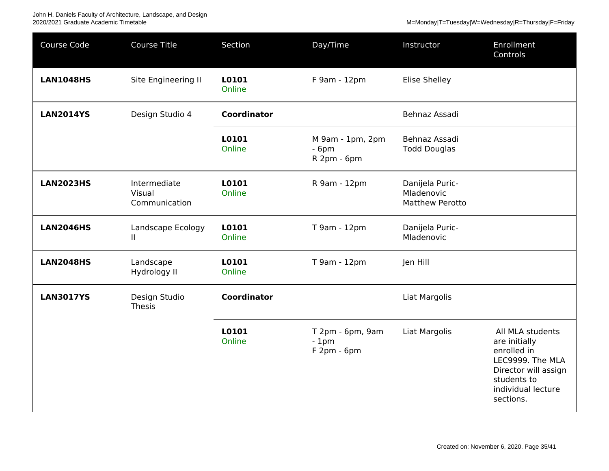| Course Code      | <b>Course Title</b>                     | Section            | Day/Time                                   | Instructor                                              | Enrollment<br>Controls                                                                                                                         |
|------------------|-----------------------------------------|--------------------|--------------------------------------------|---------------------------------------------------------|------------------------------------------------------------------------------------------------------------------------------------------------|
| <b>LAN1048HS</b> | Site Engineering II                     | L0101<br>Online    | F 9am - 12pm                               | <b>Elise Shelley</b>                                    |                                                                                                                                                |
| <b>LAN2014YS</b> | Design Studio 4                         | <b>Coordinator</b> |                                            | Behnaz Assadi                                           |                                                                                                                                                |
|                  |                                         | L0101<br>Online    | M 9am - 1pm, 2pm<br>$-6pm$<br>R 2pm - 6pm  | Behnaz Assadi<br><b>Todd Douglas</b>                    |                                                                                                                                                |
| <b>LAN2023HS</b> | Intermediate<br>Visual<br>Communication | L0101<br>Online    | R 9am - 12pm                               | Danijela Puric-<br>Mladenovic<br><b>Matthew Perotto</b> |                                                                                                                                                |
| <b>LAN2046HS</b> | Landscape Ecology<br>Ш.                 | L0101<br>Online    | T 9am - 12pm                               | Danijela Puric-<br>Mladenovic                           |                                                                                                                                                |
| <b>LAN2048HS</b> | Landscape<br>Hydrology II               | L0101<br>Online    | T 9am - 12pm                               | Jen Hill                                                |                                                                                                                                                |
| <b>LAN3017YS</b> | Design Studio<br>Thesis                 | <b>Coordinator</b> |                                            | Liat Margolis                                           |                                                                                                                                                |
|                  |                                         | L0101<br>Online    | T 2pm - 6pm, 9am<br>$-1pm$<br>$F2pm - 6pm$ | Liat Margolis                                           | All MLA students<br>are initially<br>enrolled in<br>LEC9999. The MLA<br>Director will assign<br>students to<br>individual lecture<br>sections. |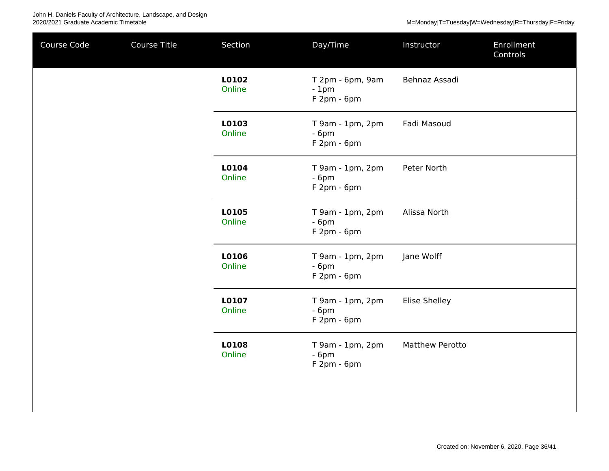| Course Code | Course Title | Section         | Day/Time                                     | Instructor             | Enrollment<br>Controls |
|-------------|--------------|-----------------|----------------------------------------------|------------------------|------------------------|
|             |              | L0102<br>Online | T 2pm - 6pm, 9am<br>$-1pm$<br>$F2pm - 6pm$   | Behnaz Assadi          |                        |
|             |              | L0103<br>Online | T 9am - 1pm, 2pm<br>$-6pm$<br>$F2pm - 6pm$   | Fadi Masoud            |                        |
|             |              | L0104<br>Online | T 9am - 1pm, 2pm<br>$-6pm$<br>$F2pm - 6pm$   | Peter North            |                        |
|             |              | L0105<br>Online | T 9am - 1pm, 2pm<br>$-6pm$<br>$F2pm - 6pm$   | Alissa North           |                        |
|             |              | L0106<br>Online | $T$ 9am - 1pm, 2pm<br>$-6pm$<br>$F2pm - 6pm$ | Jane Wolff             |                        |
|             |              | L0107<br>Online | T 9am - 1pm, 2pm<br>$-6pm$<br>F 2pm - 6pm    | <b>Elise Shelley</b>   |                        |
|             |              | L0108<br>Online | T 9am - 1pm, 2pm<br>$-6pm$<br>F 2pm - 6pm    | <b>Matthew Perotto</b> |                        |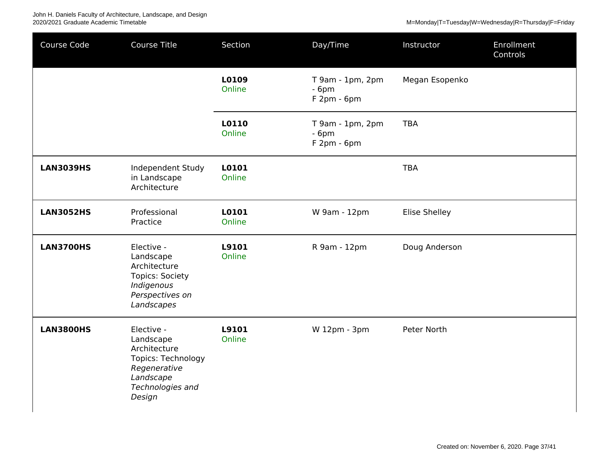| Course Code      | Course Title                                                                                                                    | Section         | Day/Time                                   | Instructor     | Enrollment<br>Controls |
|------------------|---------------------------------------------------------------------------------------------------------------------------------|-----------------|--------------------------------------------|----------------|------------------------|
|                  |                                                                                                                                 | L0109<br>Online | T 9am - 1pm, 2pm<br>$-6pm$<br>$F2pm - 6pm$ | Megan Esopenko |                        |
|                  |                                                                                                                                 | L0110<br>Online | T 9am - 1pm, 2pm<br>$-6pm$<br>$F2pm - 6pm$ | <b>TBA</b>     |                        |
| <b>LAN3039HS</b> | Independent Study<br>in Landscape<br>Architecture                                                                               | L0101<br>Online |                                            | <b>TBA</b>     |                        |
| <b>LAN3052HS</b> | Professional<br>Practice                                                                                                        | L0101<br>Online | W 9am - 12pm                               | Elise Shelley  |                        |
| <b>LAN3700HS</b> | Elective -<br>Landscape<br>Architecture<br><b>Topics: Society</b><br>Indigenous<br>Perspectives on<br>Landscapes                | L9101<br>Online | R 9am - 12pm                               | Doug Anderson  |                        |
| <b>LAN3800HS</b> | Elective -<br>Landscape<br>Architecture<br><b>Topics: Technology</b><br>Regenerative<br>Landscape<br>Technologies and<br>Design | L9101<br>Online | W 12pm - 3pm                               | Peter North    |                        |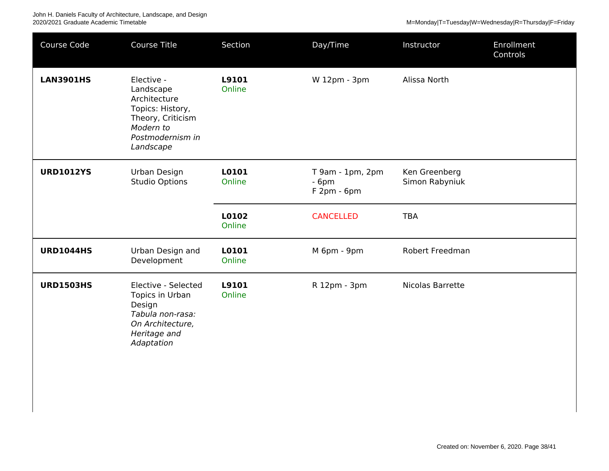| Course Code      | <b>Course Title</b>                                                                                                            | Section         | Day/Time                                   | Instructor                      | Enrollment<br>Controls |
|------------------|--------------------------------------------------------------------------------------------------------------------------------|-----------------|--------------------------------------------|---------------------------------|------------------------|
| <b>LAN3901HS</b> | Elective -<br>Landscape<br>Architecture<br>Topics: History,<br>Theory, Criticism<br>Modern to<br>Postmodernism in<br>Landscape | L9101<br>Online | W 12pm - 3pm                               | Alissa North                    |                        |
| <b>URD1012YS</b> | Urban Design<br><b>Studio Options</b>                                                                                          | L0101<br>Online | T 9am - 1pm, 2pm<br>$-6pm$<br>$F2pm - 6pm$ | Ken Greenberg<br>Simon Rabyniuk |                        |
|                  |                                                                                                                                | L0102<br>Online | <b>CANCELLED</b>                           | <b>TBA</b>                      |                        |
| <b>URD1044HS</b> | Urban Design and<br>Development                                                                                                | L0101<br>Online | M 6pm - 9pm                                | Robert Freedman                 |                        |
| <b>URD1503HS</b> | Elective - Selected<br>Topics in Urban<br>Design<br>Tabula non-rasa:<br>On Architecture,<br>Heritage and<br>Adaptation         | L9101<br>Online | R 12pm - 3pm                               | Nicolas Barrette                |                        |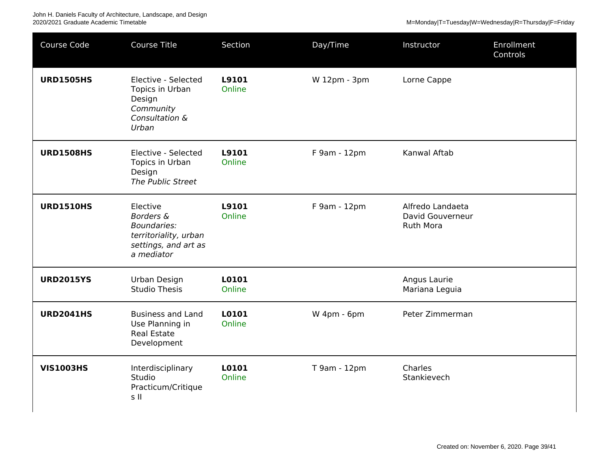John H. Daniels Faculty of Architecture, Landscape, and Design<br>2020/2021 Graduate Academic Timetable

M=Monday|T=Tuesday|W=Wednesday|R=Thursday|F=Friday

| Course Code      | <b>Course Title</b>                                                                                                   | Section         | Day/Time     | Instructor                                        | <b>Enrollment</b><br>Controls |
|------------------|-----------------------------------------------------------------------------------------------------------------------|-----------------|--------------|---------------------------------------------------|-------------------------------|
| <b>URD1505HS</b> | Elective - Selected<br>Topics in Urban<br>Design<br>Community<br>Consultation &<br>Urban                              | L9101<br>Online | W 12pm - 3pm | Lorne Cappe                                       |                               |
| <b>URD1508HS</b> | Elective - Selected<br>Topics in Urban<br>Design<br>The Public Street                                                 | L9101<br>Online | F 9am - 12pm | Kanwal Aftab                                      |                               |
| <b>URD1510HS</b> | Elective<br><b>Borders &amp;</b><br><b>Boundaries:</b><br>territoriality, urban<br>settings, and art as<br>a mediator | L9101<br>Online | F 9am - 12pm | Alfredo Landaeta<br>David Gouverneur<br>Ruth Mora |                               |
| <b>URD2015YS</b> | Urban Design<br><b>Studio Thesis</b>                                                                                  | L0101<br>Online |              | Angus Laurie<br>Mariana Leguia                    |                               |
| <b>URD2041HS</b> | <b>Business and Land</b><br>Use Planning in<br><b>Real Estate</b><br>Development                                      | L0101<br>Online | W 4pm - 6pm  | Peter Zimmerman                                   |                               |
| <b>VIS1003HS</b> | Interdisciplinary<br>Studio<br>Practicum/Critique<br>s II                                                             | L0101<br>Online | T 9am - 12pm | Charles<br>Stankievech                            |                               |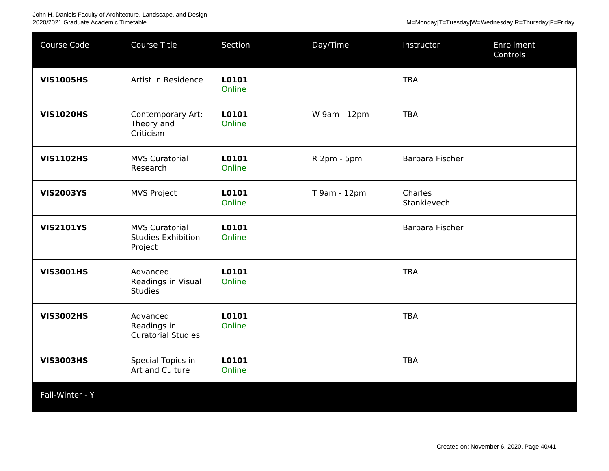John H. Daniels Faculty of Architecture, Landscape, and Design

2020/2021 Graduate Academic Timetable Metal Metal Metal Metal Metal Metal Metal Metal Metal Metal Metal Metal Metal Metal Metal Metal Metal Metal Metal Metal Metal Metal Metal Metal Metal Metal Metal Metal Metal Metal Meta

| Course Code      | Course Title                                                  | Section         | Day/Time     | Instructor             | Enrollment<br>Controls |
|------------------|---------------------------------------------------------------|-----------------|--------------|------------------------|------------------------|
| <b>VIS1005HS</b> | Artist in Residence                                           | L0101<br>Online |              | <b>TBA</b>             |                        |
| <b>VIS1020HS</b> | Contemporary Art:<br>Theory and<br>Criticism                  | L0101<br>Online | W 9am - 12pm | <b>TBA</b>             |                        |
| <b>VIS1102HS</b> | <b>MVS Curatorial</b><br>Research                             | L0101<br>Online | R 2pm - 5pm  | Barbara Fischer        |                        |
| <b>VIS2003YS</b> | <b>MVS Project</b>                                            | L0101<br>Online | T 9am - 12pm | Charles<br>Stankievech |                        |
| <b>VIS2101YS</b> | <b>MVS Curatorial</b><br><b>Studies Exhibition</b><br>Project | L0101<br>Online |              | Barbara Fischer        |                        |
| <b>VIS3001HS</b> | Advanced<br>Readings in Visual<br><b>Studies</b>              | L0101<br>Online |              | <b>TBA</b>             |                        |
| <b>VIS3002HS</b> | Advanced<br>Readings in<br><b>Curatorial Studies</b>          | L0101<br>Online |              | <b>TBA</b>             |                        |
| <b>VIS3003HS</b> | Special Topics in<br>Art and Culture                          | L0101<br>Online |              | <b>TBA</b>             |                        |
| Fall-Winter - Y  |                                                               |                 |              |                        |                        |